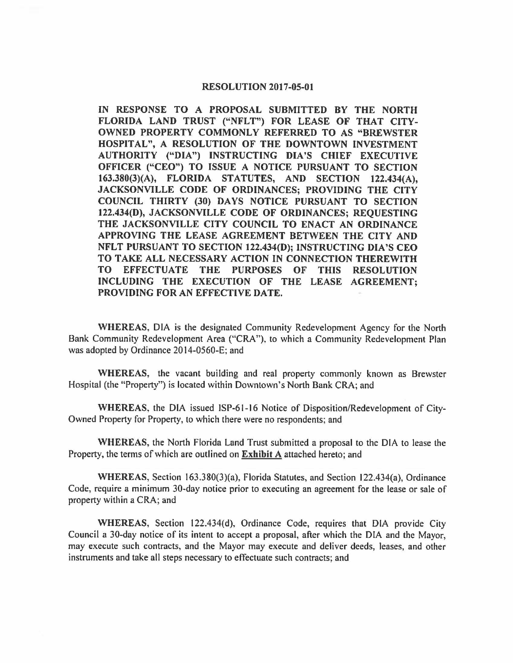#### **RESOLUTION 2017-05-01**

**IN RESPONSE TO A PROPOSAL SUBMITTED BY THE NORTH FLORIDA LAND TRUST ("NFLT") FOR LEASE OF THAT CITY-OWNED PROPERTY COMMONLY REFERRED TO AS "BREWSTER HOSPITAL", A RESOLUTION OF THE DOWNTOWN INVESTMENT AUTHORITY ("DIA") INSTRUCTING DIA'S CHIEF EXECUTIVE OFFICER ("CEO") TO ISSUE A NOTICE PURSUANT TO SECTION 163.380(3)(A), FLORIDA STATUTES, AND SECTION 122.434(A), JACKSONVILLE CODE OF ORDINANCES; PROVIDING THE CITY COUNCIL THIRTY (30) DAYS NOTICE PURSUANT TO SECTION 122.434(D), JACKSONVILLE CODE OF ORDINANCES; REQUESTING THE JACKSONVILLE CITY COUNCIL TO ENACT AN ORDINANCE APPROVING THE LEASE AGREEMENT BETWEEN THE CITY AND NFLT PURSUANT TO SECTION 122.434(D); INSTRUCTING DIA'S CEO TO TAKE ALL NECESSARY ACTION IN CONNECTION THEREWITH TO EFFECTUATE THE PURPOSES OF THIS RESOLUTION INCLUDING THE EXECUTION OF THE LEASE AGREEMENT; PROVIDING FOR AN EFFECTIVE DATE.** 

**WHEREAS,** DIA is the designated Community Redevelopment Agency for the North Bank Community Redevelopment Area ("CRA"), to which a Community Redevelopment Plan was adopted by Ordinance 2014-0560-E; and

**WHEREAS,** the vacant building and real property commonly known as Brewster Hospital (the "Property") is located within Downtown's North Bank CRA; and

**WHEREAS,** the DIA issued ISP-61-16 Notice of Disposition/Redevelopment of City-Owned Property for Property, to which there were no respondents; and

**WHEREAS,** the North Florida Land Trust submitted a proposal to the DIA to lease the Property, the terms of which are outlined on **Exhibit A** attached hereto; and

WHEREAS, Section 163.380(3)(a), Florida Statutes, and Section 122.434(a), Ordinance Code, require a minimum 30-day notice prior to executing an agreement for the lease or sale of property within a CRA; and

WHEREAS, Section 122.434(d), Ordinance Code, requires that DIA provide City Council a 30-day notice of its intent to accept a proposal, after which the DIA and the Mayor, may execute such contracts, and the Mayor may execute and deliver deeds, leases, and other instruments and take all steps necessary to effectuate such contracts; and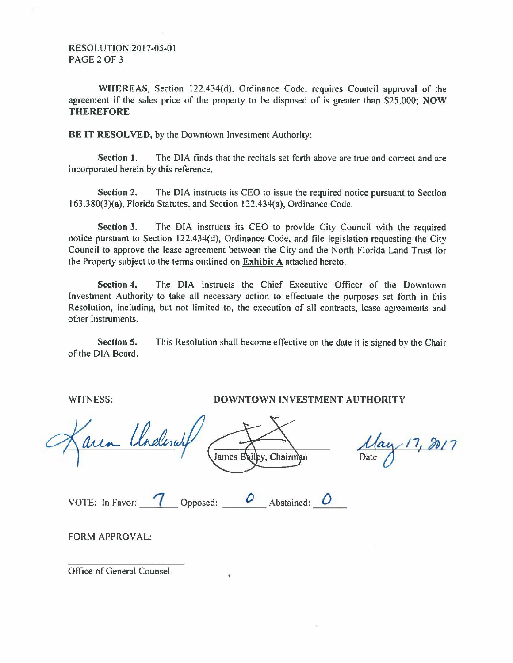RESOLUTION 2017-05-0 I PAGE 2 OF 3

WHEREAS, Section 122.434(d), Ordinance Code, requires Council approval of the agreement if the sales price of the property to be disposed of is greater than \$25,000; **NOW THEREFORE** 

**BE IT RESOLVED,** by the Downtown Investment Authority:

**Section 1.** The DIA finds that the recitals set forth above are true and correct and are incorporated herein by this reference.

**Section 2.** The DIA instructs its CEO to issue the required notice pursuant to Section I 63.380(3)(a), Florida Statutes, and Section I 22.434(a), Ordinance Code.

**Section 3.** The DIA instructs its CEO to provide City Council with the required notice pursuant to Section 122.434(d), Ordinance Code, and file legislation requesting the City Council to approve the lease agreement between the City and the North Florida Land Trust for the Property subject to the terms outlined on **Exhibit A** attached hereto.

**Section 4.** The DIA instructs the Chief Executive Officer of the Downtown Investment Authority to take all necessary action to effectuate the purposes set forth in this Resolution, including, but not limited to, the execution of all contracts, lease agreements and other instruments.

**Section 5.**  of the DIA Board. This Resolution shall become effective on the date it is signed by the Chair

WITNESS:

**DOWNTOWN INVESTMENT AUTHORITY** 

aren Underw James  $B$ Chairman VOTE: In Favor: <u>7</u> Opposed: <u>0</u> Abstained: 0

 $17, 2017$ 

FORM APPROVAL:

Office of General Counsel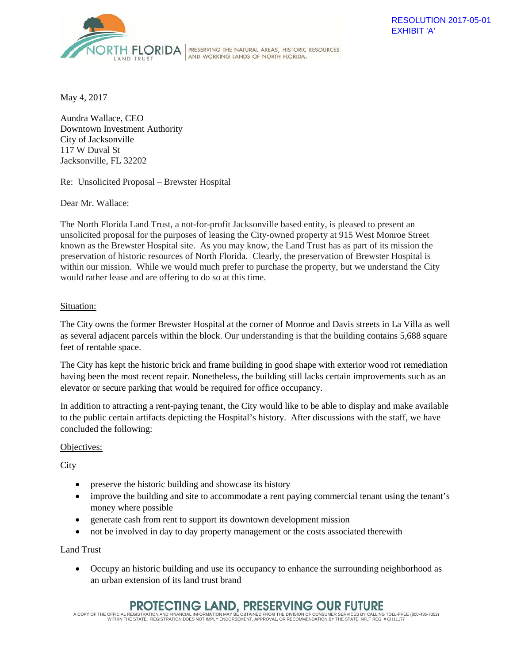

RESOLUTION 2017-05-01 EXHIBIT 'A'

May 4, 2017

Aundra Wallace, CEO Downtown Investment Authority City of Jacksonville 117 W Duval St Jacksonville, FL 32202

Re: Unsolicited Proposal – Brewster Hospital

Dear Mr. Wallace:

The North Florida Land Trust, a not-for-profit Jacksonville based entity, is pleased to present an unsolicited proposal for the purposes of leasing the City-owned property at 915 West Monroe Street known as the Brewster Hospital site. As you may know, the Land Trust has as part of its mission the preservation of historic resources of North Florida. Clearly, the preservation of Brewster Hospital is within our mission. While we would much prefer to purchase the property, but we understand the City would rather lease and are offering to do so at this time.

AND WORKING LANDS OF NORTH FLORIDA.

### Situation:

The City owns the former Brewster Hospital at the corner of Monroe and Davis streets in La Villa as well as several adjacent parcels within the block. Our understanding is that the building contains 5,688 square feet of rentable space.

The City has kept the historic brick and frame building in good shape with exterior wood rot remediation having been the most recent repair. Nonetheless, the building still lacks certain improvements such as an elevator or secure parking that would be required for office occupancy.

In addition to attracting a rent-paying tenant, the City would like to be able to display and make available to the public certain artifacts depicting the Hospital's history. After discussions with the staff, we have concluded the following:

### Objectives:

**City** 

- preserve the historic building and showcase its history
- improve the building and site to accommodate a rent paying commercial tenant using the tenant's money where possible
- generate cash from rent to support its downtown development mission
- not be involved in day to day property management or the costs associated therewith

Land Trust

• Occupy an historic building and use its occupancy to enhance the surrounding neighborhood as an urban extension of its land trust brand

# PROTECTING LAND, PRESERVING OUR FUTURE

A COPY OF THE OFFICIAL REGISTRATION AND FINANCIAL INFORMATION MAY BE OBTAINED FROM THE DIVISION OF CONSUMER SERVICES BY CALLING TOLL-FREE (800-435-7352)<br>WITHIN THE STATE. REGISTRATION DOES NOT IMPLY ENDORSEMENT, APPROVAL,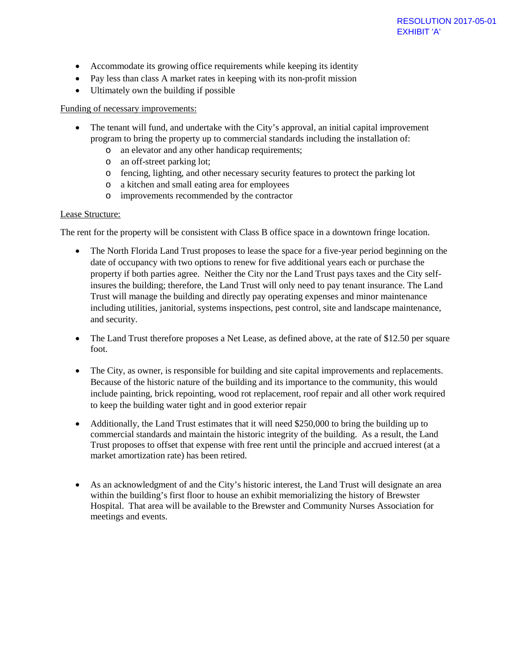- Accommodate its growing office requirements while keeping its identity
- Pay less than class A market rates in keeping with its non-profit mission
- Ultimately own the building if possible

## Funding of necessary improvements:

- The tenant will fund, and undertake with the City's approval, an initial capital improvement program to bring the property up to commercial standards including the installation of:
	- o an elevator and any other handicap requirements;
	- o an off-street parking lot;
	- o fencing, lighting, and other necessary security features to protect the parking lot
	- o a kitchen and small eating area for employees
	- o improvements recommended by the contractor

## Lease Structure:

The rent for the property will be consistent with Class B office space in a downtown fringe location.

- The North Florida Land Trust proposes to lease the space for a five-year period beginning on the date of occupancy with two options to renew for five additional years each or purchase the property if both parties agree. Neither the City nor the Land Trust pays taxes and the City selfinsures the building; therefore, the Land Trust will only need to pay tenant insurance. The Land Trust will manage the building and directly pay operating expenses and minor maintenance including utilities, janitorial, systems inspections, pest control, site and landscape maintenance, and security.
- The Land Trust therefore proposes a Net Lease, as defined above, at the rate of \$12.50 per square foot.
- The City, as owner, is responsible for building and site capital improvements and replacements. Because of the historic nature of the building and its importance to the community, this would include painting, brick repointing, wood rot replacement, roof repair and all other work required to keep the building water tight and in good exterior repair
- Additionally, the Land Trust estimates that it will need \$250,000 to bring the building up to commercial standards and maintain the historic integrity of the building. As a result, the Land Trust proposes to offset that expense with free rent until the principle and accrued interest (at a market amortization rate) has been retired.
- As an acknowledgment of and the City's historic interest, the Land Trust will designate an area within the building's first floor to house an exhibit memorializing the history of Brewster Hospital. That area will be available to the Brewster and Community Nurses Association for meetings and events.